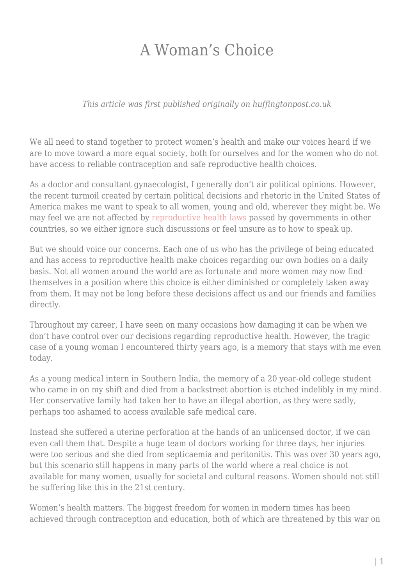## A Woman's Choice

*This article was first published originally on huffingtonpost.co.uk*

We all need to stand together to protect women's health and make our voices heard if we are to move toward a more equal society, both for ourselves and for the women who do not have access to reliable contraception and safe reproductive health choices.

As a doctor and consultant gynaecologist, I generally don't air political opinions. However, the recent turmoil created by certain political decisions and rhetoric in the United States of America makes me want to speak to all women, young and old, wherever they might be. We may feel we are not affected by [reproductive health laws](http://www.independent.co.uk/news/world/americas/mexico-city-policy-donald-trump-reinstates-global-abortion-men-latest-photograph-a7542561.html) passed by governments in other countries, so we either ignore such discussions or feel unsure as to how to speak up.

But we should voice our concerns. Each one of us who has the privilege of being educated and has access to reproductive health make choices regarding our own bodies on a daily basis. Not all women around the world are as fortunate and more women may now find themselves in a position where this choice is either diminished or completely taken away from them. It may not be long before these decisions affect us and our friends and families directly.

Throughout my career, I have seen on many occasions how damaging it can be when we don't have control over our decisions regarding reproductive health. However, the tragic case of a young woman I encountered thirty years ago, is a memory that stays with me even today.

As a young medical intern in Southern India, the memory of a 20 year-old college student who came in on my shift and died from a backstreet abortion is etched indelibly in my mind. Her conservative family had taken her to have an illegal abortion, as they were sadly, perhaps too ashamed to access available safe medical care.

Instead she suffered a uterine perforation at the hands of an unlicensed doctor, if we can even call them that. Despite a huge team of doctors working for three days, her injuries were too serious and she died from septicaemia and peritonitis. This was over 30 years ago, but this scenario still happens in many parts of the world where a real choice is not available for many women, usually for societal and cultural reasons. Women should not still be suffering like this in the 21st century.

Women's health matters. The biggest freedom for women in modern times has been achieved through contraception and education, both of which are threatened by this war on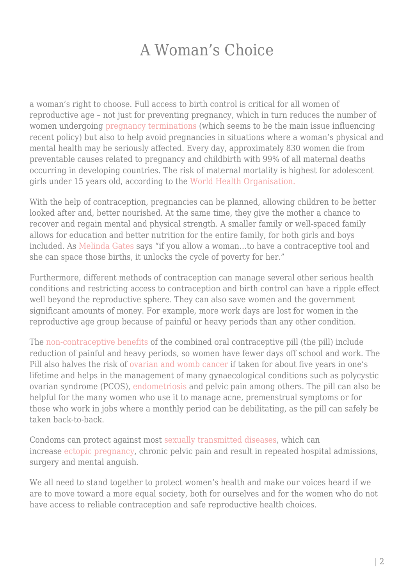## A Woman's Choice

a woman's right to choose. Full access to birth control is critical for all women of reproductive age – not just for preventing pregnancy, which in turn reduces the number of women undergoin[g pregnancy terminations](http://www.nhs.uk/conditions/Abortion/Pages/Introduction.aspx) (which seems to be the main issue influencing recent policy) but also to help avoid pregnancies in situations where a woman's physical and mental health may be seriously affected. Every day, approximately 830 women die from preventable causes related to pregnancy and childbirth with 99% of all maternal deaths occurring in developing countries. The risk of maternal mortality is highest for adolescent girls under 15 years old, according to the [World Health Organisation.](http://www.who.int/mediacentre/factsheets/fs348/en/)

With the help of contraception, pregnancies can be planned, allowing children to be better looked after and, better nourished. At the same time, they give the mother a chance to recover and regain mental and physical strength. A smaller family or well-spaced family allows for education and better nutrition for the entire family, for both girls and boys included. As [Melinda Gates](https://www.nytimes.com/2016/11/01/health/melinda-gates-birth-control-poverty.html) says "if you allow a woman…to have a contraceptive tool and she can space those births, it unlocks the cycle of poverty for her."

Furthermore, different methods of contraception can manage several other serious health conditions and restricting access to contraception and birth control can have a ripple effect well beyond the reproductive sphere. They can also save women and the government significant amounts of money. For example, more work days are lost for women in the reproductive age group because of painful or heavy periods than any other condition.

The [non-contraceptive benefits](https://www.huffingtonpost.co.uk/dr-nitu-bajekal/life-without-periods-contraceptive-pill_b_7922080.html) of the combined oral contraceptive pill (the pill) include reduction of painful and heavy periods, so women have fewer days off school and work. The Pill also halves the risk of [ovarian and womb cancer](https://www.huffingtonpost.co.uk/dr-nitu-bajekal/contraceptive-pill-cancer_b_8004744.html) if taken for about five years in one's lifetime and helps in the management of many gynaecological conditions such as polycystic ovarian syndrome (PCOS), [endometriosis](http://nitubajekal.co.uk/endometriosis) and pelvic pain among others. The pill can also be helpful for the many women who use it to manage acne, premenstrual symptoms or for those who work in jobs where a monthly period can be debilitating, as the pill can safely be taken back-to-back.

Condoms can protect against most [sexually transmitted diseases,](https://www.huffingtonpost.co.uk/dr-nitu-bajekal/christmas-gift_b_8848730.html) which can increase [ectopic pregnancy](http://www.womenforwomenshealth.co.uk/ectopicpregnancy.html), chronic pelvic pain and result in repeated hospital admissions, surgery and mental anguish.

We all need to stand together to protect women's health and make our voices heard if we are to move toward a more equal society, both for ourselves and for the women who do not have access to reliable contraception and safe reproductive health choices.